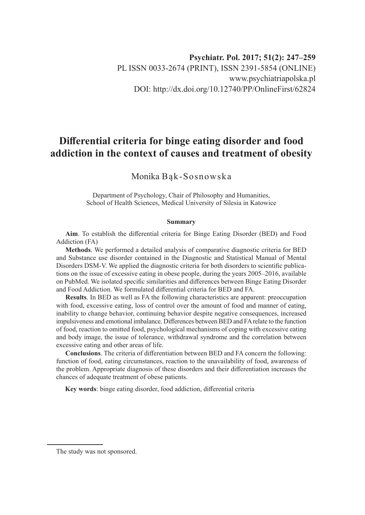# **Differential criteria for binge eating disorder and food addiction in the context of causes and treatment of obesity**

Monika Bąk-Sosnowska

Department of Psychology, Chair of Philosophy and Humanities, School of Health Sciences, Medical University of Silesia in Katowice

#### **Summary**

**Aim**. To establish the differential criteria for Binge Eating Disorder (BED) and Food Addiction (FA)

**Methods**. We performed a detailed analysis of comparative diagnostic criteria for BED and Substance use disorder contained in the Diagnostic and Statistical Manual of Mental Disorders DSM-V. We applied the diagnostic criteria for both disorders to scientific publications on the issue of excessive eating in obese people, during the years 2005–2016, available on PubMed. We isolated specific similarities and differences between Binge Eating Disorder and Food Addiction. We formulated differential criteria for BED and FA.

**Results**. In BED as well as FA the following characteristics are apparent: preoccupation with food, excessive eating, loss of control over the amount of food and manner of eating, inability to change behavior, continuing behavior despite negative consequences, increased impulsiveness and emotional imbalance. Differences between BED and FA relate to the function of food, reaction to omitted food, psychological mechanisms of coping with excessive eating and body image, the issue of tolerance, withdrawal syndrome and the correlation between excessive eating and other areas of life.

**Conclusions**. The criteria of differentiation between BED and FA concern the following: function of food, eating circumstances, reaction to the unavailability of food, awareness of the problem. Appropriate diagnosis of these disorders and their differentiation increases the chances of adequate treatment of obese patients.

**Key words**: binge eating disorder, food addiction, differential criteria

The study was not sponsored.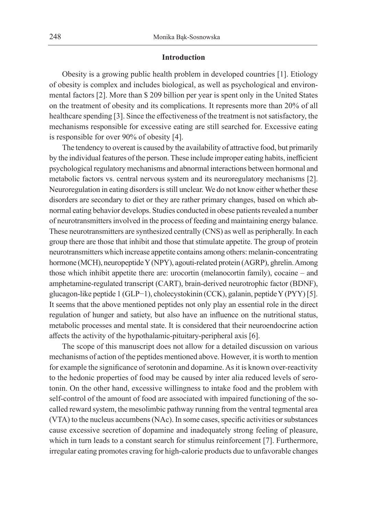## **Introduction**

Obesity is a growing public health problem in developed countries [1]. Etiology of obesity is complex and includes biological, as well as psychological and environmental factors [2]. More than \$ 209 billion per year is spent only in the United States on the treatment of obesity and its complications. It represents more than 20% of all healthcare spending [3]. Since the effectiveness of the treatment is not satisfactory, the mechanisms responsible for excessive eating are still searched for. Excessive eating is responsible for over 90% of obesity [4].

The tendency to overeat is caused by the availability of attractive food, but primarily by the individual features of the person. These include improper eating habits, inefficient psychological regulatory mechanisms and abnormal interactions between hormonal and metabolic factors vs. central nervous system and its neuroregulatory mechanisms [2]. Neuroregulation in eating disorders is still unclear. We do not know either whether these disorders are secondary to diet or they are rather primary changes, based on which abnormal eating behavior develops. Studies conducted in obese patients revealed a number of neurotransmitters involved in the process of feeding and maintaining energy balance. These neurotransmitters are synthesized centrally (CNS) as well as peripherally. In each group there are those that inhibit and those that stimulate appetite. The group of protein neurotransmitters which increase appetite contains among others: melanin-concentrating hormone (MCH), neuropeptide Y (NPY), agouti-related protein (AGRP), ghrelin. Among those which inhibit appetite there are: urocortin (melanocortin family), cocaine – and amphetamine-regulated transcript (CART), brain-derived neurotrophic factor (BDNF), glucagon-like peptide 1 (GLP−1), cholecystokinin (CCK), galanin, peptide Y (PYY) [5]. It seems that the above mentioned peptides not only play an essential role in the direct regulation of hunger and satiety, but also have an influence on the nutritional status, metabolic processes and mental state. It is considered that their neuroendocrine action affects the activity of the hypothalamic-pituitary-peripheral axis [6].

The scope of this manuscript does not allow for a detailed discussion on various mechanisms of action of the peptides mentioned above. However, it is worth to mention for example the significance of serotonin and dopamine. As it is known over-reactivity to the hedonic properties of food may be caused by inter alia reduced levels of serotonin. On the other hand, excessive willingness to intake food and the problem with self-control of the amount of food are associated with impaired functioning of the socalled reward system, the mesolimbic pathway running from the ventral tegmental area (VTA) to the nucleus accumbens (NAc). In some cases, specific activities or substances cause excessive secretion of dopamine and inadequately strong feeling of pleasure, which in turn leads to a constant search for stimulus reinforcement [7]. Furthermore, irregular eating promotes craving for high-calorie products due to unfavorable changes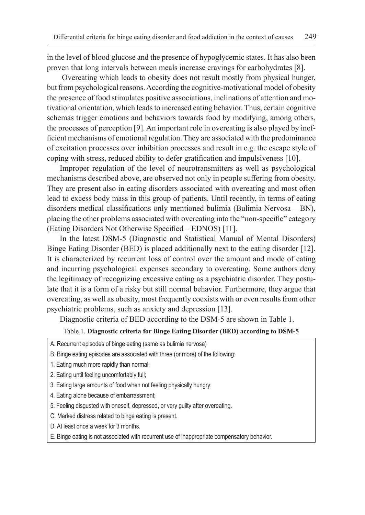in the level of blood glucose and the presence of hypoglycemic states. It has also been proven that long intervals between meals increase cravings for carbohydrates [8].

 Overeating which leads to obesity does not result mostly from physical hunger, but from psychological reasons. According the cognitive-motivational model of obesity the presence of food stimulates positive associations, inclinations of attention and motivational orientation, which leads to increased eating behavior. Thus, certain cognitive schemas trigger emotions and behaviors towards food by modifying, among others, the processes of perception [9]. An important role in overeating is also played by inefficient mechanisms of emotional regulation. They are associated with the predominance of excitation processes over inhibition processes and result in e.g. the escape style of coping with stress, reduced ability to defer gratification and impulsiveness [10].

Improper regulation of the level of neurotransmitters as well as psychological mechanisms described above, are observed not only in people suffering from obesity. They are present also in eating disorders associated with overeating and most often lead to excess body mass in this group of patients. Until recently, in terms of eating disorders medical classifications only mentioned bulimia (Bulimia Nervosa – BN), placing the other problems associated with overeating into the "non-specific" category (Eating Disorders Not Otherwise Specified – EDNOS) [11].

In the latest DSM-5 (Diagnostic and Statistical Manual of Mental Disorders) Binge Eating Disorder (BED) is placed additionally next to the eating disorder [12]. It is characterized by recurrent loss of control over the amount and mode of eating and incurring psychological expenses secondary to overeating. Some authors deny the legitimacy of recognizing excessive eating as a psychiatric disorder. They postulate that it is a form of a risky but still normal behavior. Furthermore, they argue that overeating, as well as obesity, most frequently coexists with or even results from other psychiatric problems, such as anxiety and depression [13].

Diagnostic criteria of BED according to the DSM-5 are shown in Table 1.

#### Table 1. **Diagnostic criteria for Binge Eating Disorder (BED) according to DSM-5**

- A. Recurrent episodes of binge eating (same as bulimia nervosa)
- B. Binge eating episodes are associated with three (or more) of the following:
- 1. Eating much more rapidly than normal;
- 2. Eating until feeling uncomfortably full;
- 3. Eating large amounts of food when not feeling physically hungry;
- 4. Eating alone because of embarrassment;
- 5. Feeling disgusted with oneself, depressed, or very guilty after overeating.
- C. Marked distress related to binge eating is present.
- D. At least once a week for 3 months.
- E. Binge eating is not associated with recurrent use of inappropriate compensatory behavior.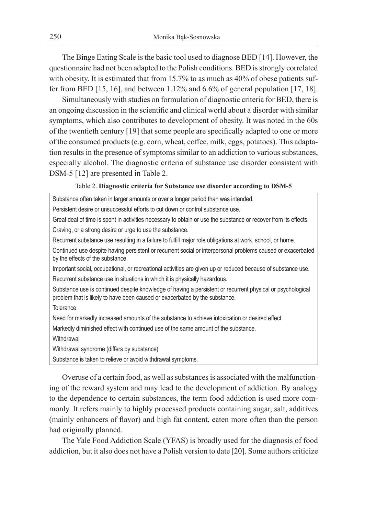The Binge Eating Scale is the basic tool used to diagnose BED [14]. However, the questionnaire had not been adapted to the Polish conditions. BED is strongly correlated with obesity. It is estimated that from 15.7% to as much as 40% of obese patients suffer from BED [15, 16], and between 1.12% and 6.6% of general population [17, 18].

Simultaneously with studies on formulation of diagnostic criteria for BED, there is an ongoing discussion in the scientific and clinical world about a disorder with similar symptoms, which also contributes to development of obesity. It was noted in the 60s of the twentieth century [19] that some people are specifically adapted to one or more of the consumed products (e.g. corn, wheat, coffee, milk, eggs, potatoes). This adaptation results in the presence of symptoms similar to an addiction to various substances, especially alcohol. The diagnostic criteria of substance use disorder consistent with DSM-5 [12] are presented in Table 2.

#### Table 2. **Diagnostic criteria for Substance use disorder according to DSM-5**

Substance often taken in larger amounts or over a longer period than was intended. Persistent desire or unsuccessful efforts to cut down or control substance use. Great deal of time is spent in activities necessary to obtain or use the substance or recover from its effects. Craving, or a strong desire or urge to use the substance. Recurrent substance use resulting in a failure to fulfill major role obligations at work, school, or home. Continued use despite having persistent or recurrent social or interpersonal problems caused or exacerbated by the effects of the substance. Important social, occupational, or recreational activities are given up or reduced because of substance use. Recurrent substance use in situations in which it is physically hazardous. Substance use is continued despite knowledge of having a persistent or recurrent physical or psychological problem that is likely to have been caused or exacerbated by the substance. **Tolerance** Need for markedly increased amounts of the substance to achieve intoxication or desired effect. Markedly diminished effect with continued use of the same amount of the substance. **Withdrawal** Withdrawal syndrome (differs by substance)

Substance is taken to relieve or avoid withdrawal symptoms.

Overuse of a certain food, as well as substances is associated with the malfunctioning of the reward system and may lead to the development of addiction. By analogy to the dependence to certain substances, the term food addiction is used more commonly. It refers mainly to highly processed products containing sugar, salt, additives (mainly enhancers of flavor) and high fat content, eaten more often than the person had originally planned.

The Yale Food Addiction Scale (YFAS) is broadly used for the diagnosis of food addiction, but it also does not have a Polish version to date [20]. Some authors criticize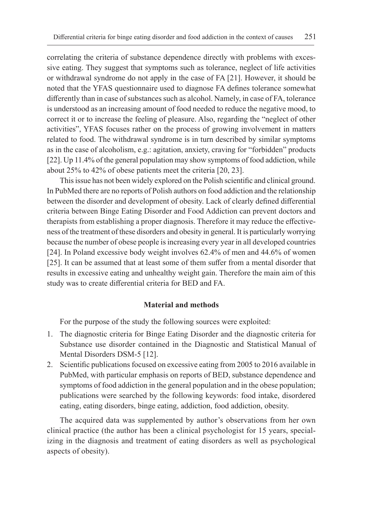correlating the criteria of substance dependence directly with problems with excessive eating. They suggest that symptoms such as tolerance, neglect of life activities or withdrawal syndrome do not apply in the case of FA [21]. However, it should be noted that the YFAS questionnaire used to diagnose FA defines tolerance somewhat differently than in case of substances such as alcohol. Namely, in case of FA, tolerance is understood as an increasing amount of food needed to reduce the negative mood, to correct it or to increase the feeling of pleasure. Also, regarding the "neglect of other activities", YFAS focuses rather on the process of growing involvement in matters related to food. The withdrawal syndrome is in turn described by similar symptoms as in the case of alcoholism, e.g.: agitation, anxiety, craving for "forbidden" products [22]. Up 11.4% of the general population may show symptoms of food addiction, while about 25% to 42% of obese patients meet the criteria [20, 23].

This issue has not been widely explored on the Polish scientific and clinical ground. In PubMed there are no reports of Polish authors on food addiction and the relationship between the disorder and development of obesity. Lack of clearly defined differential criteria between Binge Eating Disorder and Food Addiction can prevent doctors and therapists from establishing a proper diagnosis. Therefore it may reduce the effectiveness of the treatment of these disorders and obesity in general. It is particularly worrying because the number of obese people is increasing every year in all developed countries [24]. In Poland excessive body weight involves 62.4% of men and 44.6% of women [25]. It can be assumed that at least some of them suffer from a mental disorder that results in excessive eating and unhealthy weight gain. Therefore the main aim of this study was to create differential criteria for BED and FA.

# **Material and methods**

For the purpose of the study the following sources were exploited:

- 1. The diagnostic criteria for Binge Eating Disorder and the diagnostic criteria for Substance use disorder contained in the Diagnostic and Statistical Manual of Mental Disorders DSM-5 [12].
- 2. Scientific publications focused on excessive eating from 2005 to 2016 available in PubMed, with particular emphasis on reports of BED, substance dependence and symptoms of food addiction in the general population and in the obese population; publications were searched by the following keywords: food intake, disordered eating, eating disorders, binge eating, addiction, food addiction, obesity.

The acquired data was supplemented by author's observations from her own clinical practice (the author has been a clinical psychologist for 15 years, specializing in the diagnosis and treatment of eating disorders as well as psychological aspects of obesity).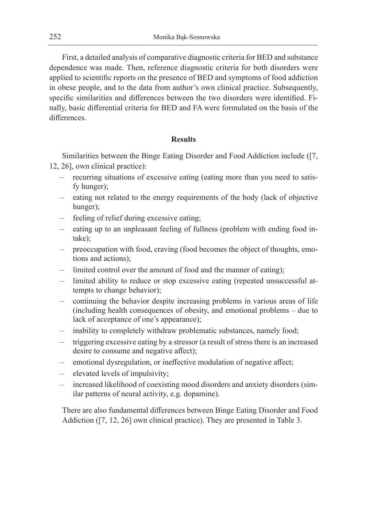First, a detailed analysis of comparative diagnostic criteria for BED and substance dependence was made. Then, reference diagnostic criteria for both disorders were applied to scientific reports on the presence of BED and symptoms of food addiction in obese people, and to the data from author's own clinical practice. Subsequently, specific similarities and differences between the two disorders were identified. Finally, basic differential criteria for BED and FA were formulated on the basis of the differences.

# **Results**

Similarities between the Binge Eating Disorder and Food Addiction include ([7, 12, 26], own clinical practice):

- recurring situations of excessive eating (eating more than you need to satisfy hunger);
- eating not related to the energy requirements of the body (lack of objective hunger);
- feeling of relief during excessive eating;
- eating up to an unpleasant feeling of fullness (problem with ending food intake);
- preoccupation with food, craving (food becomes the object of thoughts, emotions and actions);
- limited control over the amount of food and the manner of eating);
- limited ability to reduce or stop excessive eating (repeated unsuccessful attempts to change behavior);
- continuing the behavior despite increasing problems in various areas of life (including health consequences of obesity, and emotional problems – due to lack of acceptance of one's appearance);
- inability to completely withdraw problematic substances, namely food;
- triggering excessive eating by a stressor (a result of stress there is an increased desire to consume and negative affect);
- emotional dysregulation, or ineffective modulation of negative affect;
- elevated levels of impulsivity;
- increased likelihood of coexisting mood disorders and anxiety disorders (similar patterns of neural activity, e.g. dopamine).

There are also fundamental differences between Binge Eating Disorder and Food Addiction ([7, 12, 26] own clinical practice). They are presented in Table 3.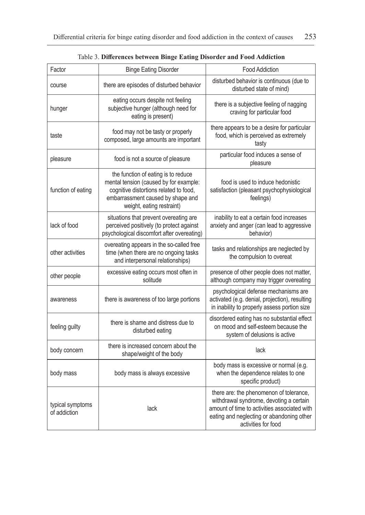| Factor                           | <b>Binge Eating Disorder</b>                                                                                                                                                              | <b>Food Addiction</b>                                                                                                                                                                                  |
|----------------------------------|-------------------------------------------------------------------------------------------------------------------------------------------------------------------------------------------|--------------------------------------------------------------------------------------------------------------------------------------------------------------------------------------------------------|
| course                           | there are episodes of disturbed behavior                                                                                                                                                  | disturbed behavior is continuous (due to<br>disturbed state of mind)                                                                                                                                   |
| hunger                           | eating occurs despite not feeling<br>subjective hunger (although need for<br>eating is present)                                                                                           | there is a subjective feeling of nagging<br>craving for particular food                                                                                                                                |
| taste                            | food may not be tasty or properly<br>composed, large amounts are important                                                                                                                | there appears to be a desire for particular<br>food, which is perceived as extremely<br>tasty                                                                                                          |
| pleasure                         | food is not a source of pleasure                                                                                                                                                          | particular food induces a sense of<br>pleasure                                                                                                                                                         |
| function of eating               | the function of eating is to reduce<br>mental tension (caused by for example:<br>cognitive distortions related to food,<br>embarrassment caused by shape and<br>weight, eating restraint) | food is used to induce hedonistic<br>satisfaction (pleasant psychophysiological<br>feelings)                                                                                                           |
| lack of food                     | situations that prevent overeating are<br>perceived positively (to protect against<br>psychological discomfort after overeating)                                                          | inability to eat a certain food increases<br>anxiety and anger (can lead to aggressive<br>behavior)                                                                                                    |
| other activities                 | overeating appears in the so-called free<br>time (when there are no ongoing tasks<br>and interpersonal relationships)                                                                     | tasks and relationships are neglected by<br>the compulsion to overeat                                                                                                                                  |
| other people                     | excessive eating occurs most often in<br>solitude                                                                                                                                         | presence of other people does not matter,<br>although company may trigger overeating                                                                                                                   |
| awareness                        | there is awareness of too large portions                                                                                                                                                  | psychological defense mechanisms are<br>activated (e.g. denial, projection), resulting<br>in inability to properly assess portion size                                                                 |
| feeling guilty                   | there is shame and distress due to<br>disturbed eating                                                                                                                                    | disordered eating has no substantial effect<br>on mood and self-esteem because the<br>system of delusions is active                                                                                    |
| body concern                     | there is increased concern about the<br>shape/weight of the body                                                                                                                          | lack                                                                                                                                                                                                   |
| body mass                        | body mass is always excessive                                                                                                                                                             | body mass is excessive or normal (e.g.<br>when the dependence relates to one<br>specific product)                                                                                                      |
| typical symptoms<br>of addiction | lack                                                                                                                                                                                      | there are: the phenomenon of tolerance,<br>withdrawal syndrome, devoting a certain<br>amount of time to activities associated with<br>eating and neglecting or abandoning other<br>activities for food |

Table 3. **Differences between Binge Eating Disorder and Food Addiction**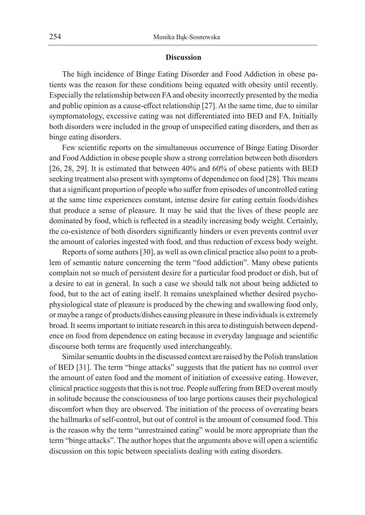## **Discussion**

The high incidence of Binge Eating Disorder and Food Addiction in obese patients was the reason for these conditions being equated with obesity until recently. Especially the relationship between FA and obesity incorrectly presented by the media and public opinion as a cause-effect relationship [27]. At the same time, due to similar symptomatology, excessive eating was not differentiated into BED and FA. Initially both disorders were included in the group of unspecified eating disorders, and then as binge eating disorders.

Few scientific reports on the simultaneous occurrence of Binge Eating Disorder and Food Addiction in obese people show a strong correlation between both disorders [26, 28, 29]. It is estimated that between 40% and 60% of obese patients with BED seeking treatment also present with symptoms of dependence on food [28]. This means that a significant proportion of people who suffer from episodes of uncontrolled eating at the same time experiences constant, intense desire for eating certain foods/dishes that produce a sense of pleasure. It may be said that the lives of these people are dominated by food, which is reflected in a steadily increasing body weight. Certainly, the co-existence of both disorders significantly hinders or even prevents control over the amount of calories ingested with food, and thus reduction of excess body weight.

Reports of some authors [30], as well as own clinical practice also point to a problem of semantic nature concerning the term "food addiction". Many obese patients complain not so much of persistent desire for a particular food product or dish, but of a desire to eat in general. In such a case we should talk not about being addicted to food, but to the act of eating itself. It remains unexplained whether desired psychophysiological state of pleasure is produced by the chewing and swallowing food only, or maybe a range of products/dishes causing pleasure in these individuals is extremely broad. It seems important to initiate research in this area to distinguish between dependence on food from dependence on eating because in everyday language and scientific discourse both terms are frequently used interchangeably.

Similar semantic doubts in the discussed context are raised by the Polish translation of BED [31]. The term "binge attacks" suggests that the patient has no control over the amount of eaten food and the moment of initiation of excessive eating. However, clinical practice suggests that this is not true. People suffering from BED overeat mostly in solitude because the consciousness of too large portions causes their psychological discomfort when they are observed. The initiation of the process of overeating bears the hallmarks of self-control, but out of control is the amount of consumed food. This is the reason why the term "unrestrained eating" would be more appropriate than the term "binge attacks". The author hopes that the arguments above will open a scientific discussion on this topic between specialists dealing with eating disorders.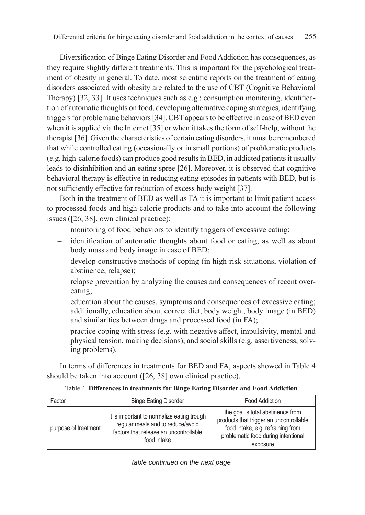Diversification of Binge Eating Disorder and Food Addiction has consequences, as they require slightly different treatments. This is important for the psychological treatment of obesity in general. To date, most scientific reports on the treatment of eating disorders associated with obesity are related to the use of CBT (Cognitive Behavioral Therapy) [32, 33]. It uses techniques such as e.g.: consumption monitoring, identification of automatic thoughts on food, developing alternative coping strategies, identifying triggers for problematic behaviors [34]. CBT appears to be effective in case of BED even when it is applied via the Internet [35] or when it takes the form of self-help, without the therapist [36]. Given the characteristics of certain eating disorders, it must be remembered that while controlled eating (occasionally or in small portions) of problematic products (e.g. high-calorie foods) can produce good results in BED, in addicted patients it usually leads to disinhibition and an eating spree [26]. Moreover, it is observed that cognitive behavioral therapy is effective in reducing eating episodes in patients with BED, but is not sufficiently effective for reduction of excess body weight [37].

Both in the treatment of BED as well as FA it is important to limit patient access to processed foods and high-calorie products and to take into account the following issues ([26, 38], own clinical practice):

- monitoring of food behaviors to identify triggers of excessive eating;
- identification of automatic thoughts about food or eating, as well as about body mass and body image in case of BED;
- develop constructive methods of coping (in high-risk situations, violation of abstinence, relapse);
- relapse prevention by analyzing the causes and consequences of recent overeating;
- education about the causes, symptoms and consequences of excessive eating; additionally, education about correct diet, body weight, body image (in BED) and similarities between drugs and processed food (in FA);
- practice coping with stress (e.g. with negative affect, impulsivity, mental and physical tension, making decisions), and social skills (e.g. assertiveness, solving problems).

In terms of differences in treatments for BED and FA, aspects showed in Table 4 should be taken into account ([26, 38] own clinical practice).

| Table 4. Differences in treatments for Binge Eating Disorder and Food Addiction |  |  |  |
|---------------------------------------------------------------------------------|--|--|--|
|---------------------------------------------------------------------------------|--|--|--|

| Factor               | <b>Binge Eating Disorder</b>                                                                                                             | <b>Food Addiction</b>                                                                                                                                                |
|----------------------|------------------------------------------------------------------------------------------------------------------------------------------|----------------------------------------------------------------------------------------------------------------------------------------------------------------------|
| purpose of treatment | it is important to normalize eating trough<br>regular meals and to reduce/avoid<br>factors that release an uncontrollable<br>food intake | the goal is total abstinence from<br>products that trigger an uncontrollable<br>food intake, e.g. refraining from<br>problematic food during intentional<br>exposure |

*table continued on the next page*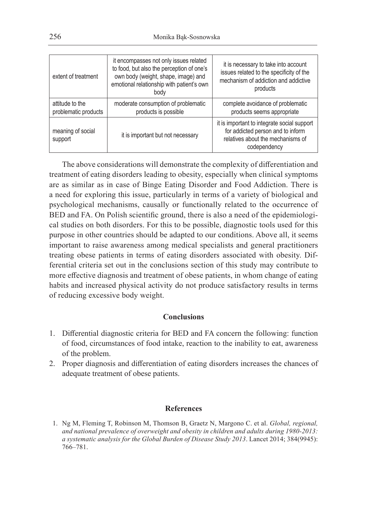| extent of treatment                     | it encompasses not only issues related<br>to food, but also the perception of one's<br>own body (weight, shape, image) and<br>emotional relationship with patient's own<br>body | it is necessary to take into account<br>issues related to the specificity of the<br>mechanism of addiction and addictive<br>products  |
|-----------------------------------------|---------------------------------------------------------------------------------------------------------------------------------------------------------------------------------|---------------------------------------------------------------------------------------------------------------------------------------|
| attitude to the<br>problematic products | moderate consumption of problematic<br>products is possible                                                                                                                     | complete avoidance of problematic<br>products seems appropriate                                                                       |
| meaning of social<br>support            | it is important but not necessary                                                                                                                                               | it is important to integrate social support<br>for addicted person and to inform<br>relatives about the mechanisms of<br>codependency |

The above considerations will demonstrate the complexity of differentiation and treatment of eating disorders leading to obesity, especially when clinical symptoms are as similar as in case of Binge Eating Disorder and Food Addiction. There is a need for exploring this issue, particularly in terms of a variety of biological and psychological mechanisms, causally or functionally related to the occurrence of BED and FA. On Polish scientific ground, there is also a need of the epidemiological studies on both disorders. For this to be possible, diagnostic tools used for this purpose in other countries should be adapted to our conditions. Above all, it seems important to raise awareness among medical specialists and general practitioners treating obese patients in terms of eating disorders associated with obesity. Differential criteria set out in the conclusions section of this study may contribute to more effective diagnosis and treatment of obese patients, in whom change of eating habits and increased physical activity do not produce satisfactory results in terms of reducing excessive body weight.

# **Conclusions**

- 1. Differential diagnostic criteria for BED and FA concern the following: function of food, circumstances of food intake, reaction to the inability to eat, awareness of the problem.
- 2. Proper diagnosis and differentiation of eating disorders increases the chances of adequate treatment of obese patients.

## **References**

1. Ng M, Fleming T, Robinson M, Thomson B, Graetz N, Margono C. et al. *Global, regional, and national prevalence of overweight and obesity in children and adults during 1980-2013: a systematic analysis for the Global Burden of Disease Study 2013*. Lancet 2014; 384(9945): 766–781.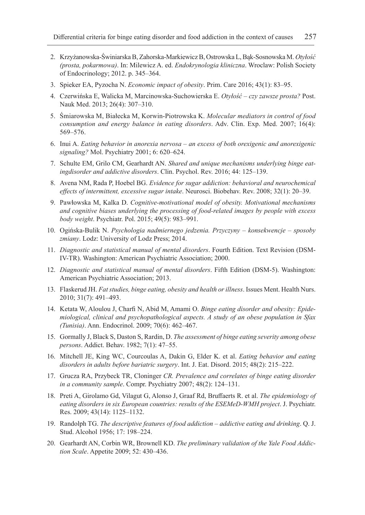- 2. Krzyżanowska-Świniarska B, Zahorska-Markiewicz B, Ostrowska L, Bąk-Sosnowska M. *Otyłość (prosta, pokarmowa)*. In: Milewicz A. ed. *Endokrynologia kliniczna*. Wroclaw: Polish Society of Endocrinology; 2012. p. 345–364.
- 3. Spieker EA, Pyzocha N. *Economic impact of obesity*. Prim. Care 2016; 43(1): 83–95.
- 4. Czerwińska E, Walicka M, Marcinowska-Suchowierska E. *Otyłość czy zawsze prosta?* Post. Nauk Med. 2013; 26(4): 307–310.
- 5. Śmiarowska M, Białecka M, Korwin-Piotrowska K. *Molecular mediators in control of food consumption and energy balance in eating disorders*. Adv. Clin. Exp. Med. 2007; 16(4): 569–576.
- 6. Inui A. *Eating behavior in anorexia nervosa an excess of both orexigenic and anorexigenic signaling?* Mol. Psychiatry 2001; 6: 620–624.
- 7. Schulte EM, Grilo CM, Gearhardt AN. *Shared and unique mechanisms underlying binge eatingdisorder and addictive disorders*. Clin. Psychol. Rev. 2016; 44: 125–139.
- 8. Avena NM, Rada P, Hoebel BG. *Evidence for sugar addiction: behavioral and neurochemical effects of intermittent, excessive sugar intake*. Neurosci. Biobehav. Rev. 2008; 32(1): 20–39.
- 9. Pawłowska M, Kalka D. *Cognitive-motivational model of obesity. Motivational mechanisms and cognitive biases underlying the processing of food-related images by people with excess body weight*. Psychiatr. Pol. 2015; 49(5): 983–991.
- 10. Ogińska-Bulik N. *Psychologia nadmiernego jedzenia. Przyczyny konsekwencje sposoby zmiany*. Lodz: University of Lodz Press; 2014.
- 11. *Diagnostic and statistical manual of mental disorders*. Fourth Edition. Text Revision (DSM-IV-TR). Washington: American Psychiatric Association; 2000.
- 12. *Diagnostic and statistical manual of mental disorders*. Fifth Edition (DSM-5). Washington: American Psychiatric Association; 2013.
- 13. Flaskerud JH. *Fat studies, binge eating, obesity and health or illness*. Issues Ment. Health Nurs. 2010; 31(7): 491–493.
- 14. Ketata W, Aloulou J, Charfi N, Abid M, Amami O. *Binge eating disorder and obesity: Epidemiological, clinical and psychopathological aspects. A study of an obese population in Sfax (Tunisia)*. Ann. Endocrinol. 2009; 70(6): 462–467.
- 15. Gormally J, Black S, Daston S, Rardin, D. *The assessment of binge eating severity among obese persons*. Addict. Behav. 1982; 7(1): 47–55.
- 16. Mitchell JE, King WC, Courcoulas A, Dakin G, Elder K. et al. *Eating behavior and eating disorders in adults before bariatric surgery*. Int. J. Eat. Disord. 2015; 48(2): 215–222.
- 17. Grucza RA, Przybeck TR, Cloninger *CR. Prevalence and correlates of binge eating disorder in a community sample*. Compr. Psychiatry 2007; 48(2): 124–131.
- 18. Preti A, Girolamo Gd, Vilagut G, Alonso J, Graaf Rd, Bruffaerts R. et al. *The epidemiology of eating disorders in six European countries: results of the ESEMeD-WMH project*. J. Psychiatr. Res. 2009; 43(14): 1125–1132.
- 19. Randolph TG. *The descriptive features of food addiction addictive eating and drinking*. Q. J. Stud. Alcohol 1956; 17: 198–224.
- 20. Gearhardt AN, Corbin WR, Brownell KD. *The preliminary validation of the Yale Food Addiction Scale*. Appetite 2009; 52: 430–436.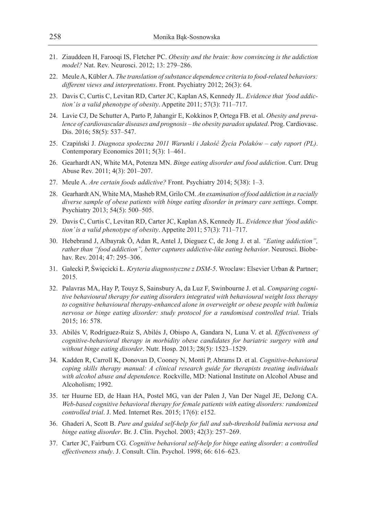- 21. Ziauddeen H, Farooqi IS, Fletcher PC. *Obesity and the brain: how convincing is the addiction model?* Nat. Rev. Neurosci. 2012; 13: 279–286.
- 22. Meule A, Kübler A. *The translation of substance dependence criteria to food-related behaviors: different views and interpretations*. Front. Psychiatry 2012; 26(3): 64.
- 23. Davis C, Curtis C, Levitan RD, Carter JC, Kaplan AS, Kennedy JL. *Evidence that 'food addiction' is a valid phenotype of obesity*. Appetite 2011; 57(3): 711–717.
- 24. Lavie CJ, De Schutter A, Parto P, Jahangir E, Kokkinos P, Ortega FB. et al. *Obesity and prevalence of cardiovascular diseases and prognosis – the obesity paradox updated*. Prog. Cardiovasc. Dis. 2016; 58(5): 537–547.
- 25. Czapiński J. *Diagnoza społeczna 2011 Warunki i Jakość Życia Polaków cały raport (PL)*. Contemporary Economics 2011; 5(3): 1–461.
- 26. Gearhardt AN, White MA, Potenza MN. *Binge eating disorder and food addiction*. Curr. Drug Abuse Rev. 2011; 4(3): 201–207.
- 27. Meule A. *Are certain foods addictive?* Front. Psychiatry 2014; 5(38): 1–3.
- 28. Gearhardt AN, White MA, Masheb RM, Grilo CM. *An examination of food addiction in a racially diverse sample of obese patients with binge eating disorder in primary care settings*. Compr. Psychiatry 2013; 54(5): 500–505.
- 29. Davis C, Curtis C, Levitan RD, Carter JC, Kaplan AS, Kennedy JL. *Evidence that 'food addiction' is a valid phenotype of obesity*. Appetite 2011; 57(3): 711–717.
- 30. Hebebrand J, Albayrak Ö, Adan R, Antel J, Dieguez C, de Jong J. et al. *"Eating addiction", rather than "food addiction", better captures addictive-like eating behavior*. Neurosci. Biobehav. Rev. 2014; 47: 295–306.
- 31. Gałecki P, Święcicki Ł. *Kryteria diagnostyczne z DSM-5*. Wroclaw: Elsevier Urban & Partner; 2015.
- 32. Palavras MA, Hay P, Touyz S, Sainsbury A, da Luz F, Swinbourne J. et al. *Comparing cognitive behavioural therapy for eating disorders integrated with behavioural weight loss therapy to cognitive behavioural therapy-enhanced alone in overweight or obese people with bulimia nervosa or binge eating disorder: study protocol for a randomised controlled trial*. Trials 2015; 16: 578.
- 33. Abilés V, Rodríguez-Ruiz S, Abilés J, Obispo A, Gandara N, Luna V. et al. *Effectiveness of cognitive-behavioral therapy in morbidity obese candidates for bariatric surgery with and without binge eating disorder*. Nutr. Hosp. 2013; 28(5): 1523–1529.
- 34. Kadden R, Carroll K, Donovan D, Cooney N, Monti P, Abrams D. et al. *Cognitive-behavioral coping skills therapy manual: A clinical research guide for therapists treating individuals with alcohol abuse and dependence.* Rockville, MD: National Institute on Alcohol Abuse and Alcoholism; 1992.
- 35. ter Huurne ED, de Haan HA, Postel MG, van der Palen J, Van Der Nagel JE, DeJong CA. *Web-based cognitive behavioral therapy for female patients with eating disorders: randomized controlled trial*. J. Med. Internet Res. 2015; 17(6): e152.
- 36. Ghaderi A, Scott B. *Pure and guided self-help for full and sub-threshold bulimia nervosa and binge eating disorder*. Br. J. Clin. Psychol. 2003; 42(3): 257–269.
- 37. Carter JC, Fairburn CG. *Cognitive behavioral self-help for binge eating disorder: a controlled effectiveness study*. J. Consult. Clin. Psychol. 1998; 66: 616–623.